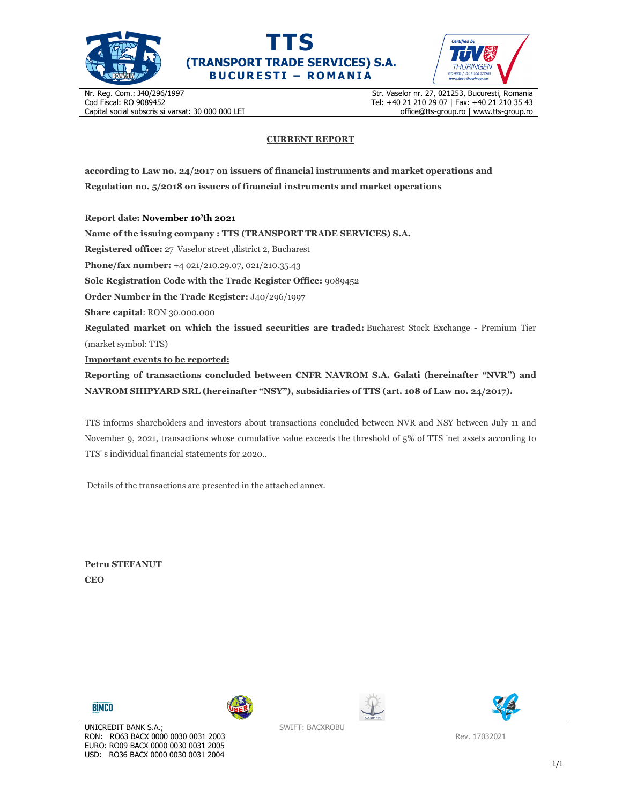





Nr. Reg. Com.: J40/296/1997 Cod Fiscal: RO 9089452 Capital social subscris si varsat: 30 000 000 LEI Str. Vaselor nr. 27, 021253, Bucuresti, Romania Tel: +40 21 210 29 07 | Fax: +40 21 210 35 43 office@tts-group.ro | www.tts-group.ro

## **CURRENT REPORT**

**according to Law no. 24/2017 on issuers of financial instruments and market operations and Regulation no. 5/2018 on issuers of financial instruments and market operations** 

**Report date: November 10'th 2021**

**Name of the issuing company : TTS (TRANSPORT TRADE SERVICES) S.A. Registered office:** 27 Vaselor street ,district 2, Bucharest **Phone/fax number:** +4 021/210.29.07, 021/210.35.43 **Sole Registration Code with the Trade Register Office:** 9089452 **Order Number in the Trade Register:** J40/296/1997 **Share capital**: RON 30.000.000 **Regulated market on which the issued securities are traded:** Bucharest Stock Exchange - Premium Tier (market symbol: TTS) **Important events to be reported: Reporting of transactions concluded between CNFR NAVROM S.A. Galati (hereinafter "NVR") and NAVROM SHIPYARD SRL (hereinafter "NSY"), subsidiaries of TTS (art. 108 of Law no. 24/2017).** 

TTS informs shareholders and investors about transactions concluded between NVR and NSY between July 11 and November 9, 2021, transactions whose cumulative value exceeds the threshold of 5% of TTS 'net assets according to TTS' s individual financial statements for 2020..

Details of the transactions are presented in the attached annex.

**Petru STEFANUT CEO** 









Rev. 17032021